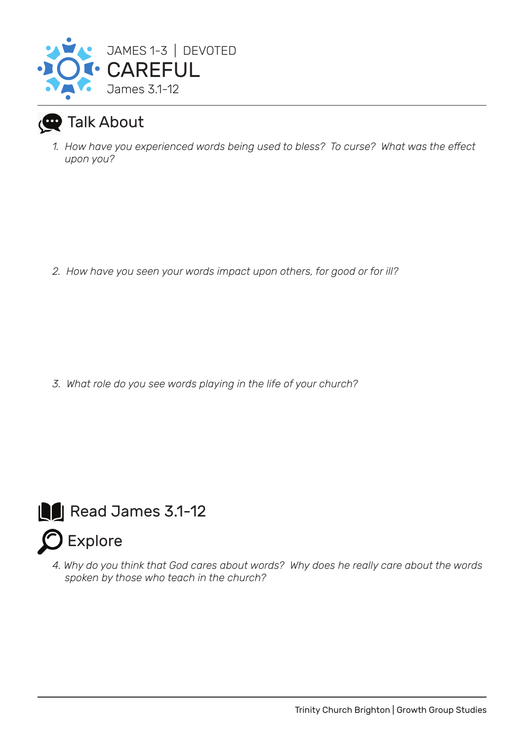

## Talk About

*1. How have you experienced words being used to bless? To curse? What was the effect upon you?*

*2. How have you seen your words impact upon others, for good or for ill?*

*3. What role do you see words playing in the life of your church?*



*4. Why do you think that God cares about words? Why does he really care about the words spoken by those who teach in the church?*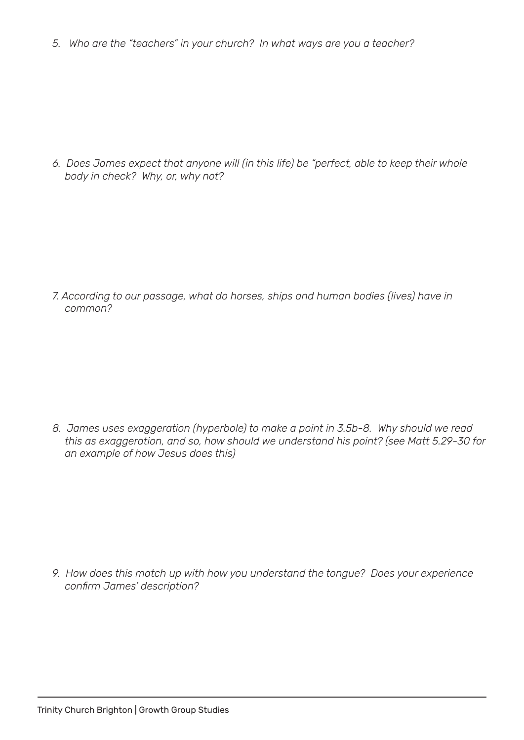*5. Who are the "teachers" in your church? In what ways are you a teacher?*

*6. Does James expect that anyone will (in this life) be "perfect, able to keep their whole body in check? Why, or, why not?*

*7. According to our passage, what do horses, ships and human bodies (lives) have in common?*

*8. James uses exaggeration (hyperbole) to make a point in 3.5b-8. Why should we read this as exaggeration, and so, how should we understand his point? (see Matt 5.29-30 for an example of how Jesus does this)*

*9. How does this match up with how you understand the tongue? Does your experience confirm James' description?*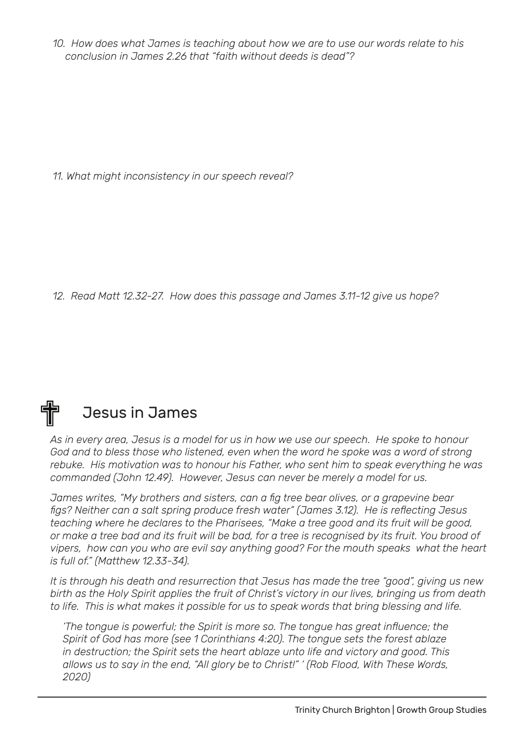*10. How does what James is teaching about how we are to use our words relate to his conclusion in James 2.26 that "faith without deeds is dead"?*

*11. What might inconsistency in our speech reveal?*

*12. Read Matt 12.32-27. How does this passage and James 3.11-12 give us hope?*

## Jesus in James

*As in every area, Jesus is a model for us in how we use our speech. He spoke to honour*  God and to bless those who listened, even when the word he spoke was a word of strong *rebuke. His motivation was to honour his Father, who sent him to speak everything he was commanded (John 12.49). However, Jesus can never be merely a model for us.*

*James writes, "My brothers and sisters, can a fig tree bear olives, or a grapevine bear figs? Neither can a salt spring produce fresh water" (James 3.12). He is reflecting Jesus teaching where he declares to the Pharisees, "Make a tree good and its fruit will be good, or make a tree bad and its fruit will be bad, for a tree is recognised by its fruit. You brood of vipers, how can you who are evil say anything good? For the mouth speaks what the heart is full of." (Matthew 12.33-34).*

*It is through his death and resurrection that Jesus has made the tree "good", giving us new*  birth as the Holy Spirit applies the fruit of Christ's victory in our lives, bringing us from death *to life. This is what makes it possible for us to speak words that bring blessing and life.*

*'The tongue is powerful; the Spirit is more so. The tongue has great influence; the Spirit of God has more (see 1 Corinthians 4:20). The tongue sets the forest ablaze in destruction; the Spirit sets the heart ablaze unto life and victory and good. This allows us to say in the end, "All glory be to Christ!" ' (Rob Flood, With These Words, 2020)*